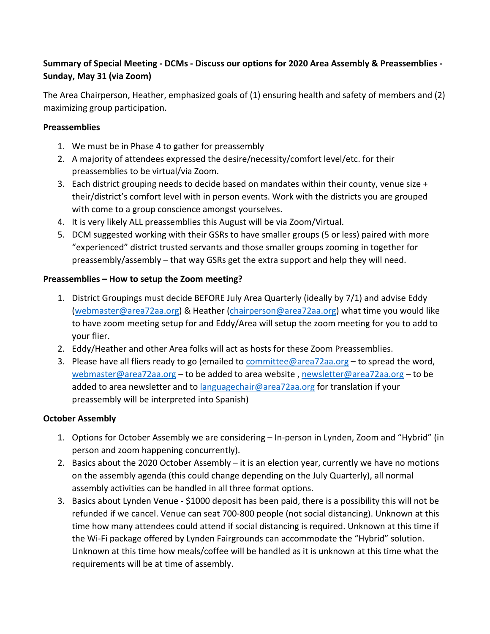## **Summary of Special Meeting - DCMs - Discuss our options for 2020 Area Assembly & Preassemblies - Sunday, May 31 (via Zoom)**

The Area Chairperson, Heather, emphasized goals of (1) ensuring health and safety of members and (2) maximizing group participation.

## **Preassemblies**

- 1. We must be in Phase 4 to gather for preassembly
- 2. A majority of attendees expressed the desire/necessity/comfort level/etc. for their preassemblies to be virtual/via Zoom.
- 3. Each district grouping needs to decide based on mandates within their county, venue size + their/district's comfort level with in person events. Work with the districts you are grouped with come to a group conscience amongst yourselves.
- 4. It is very likely ALL preassemblies this August will be via Zoom/Virtual.
- 5. DCM suggested working with their GSRs to have smaller groups (5 or less) paired with more "experienced" district trusted servants and those smaller groups zooming in together for preassembly/assembly – that way GSRs get the extra support and help they will need.

## **Preassemblies – How to setup the Zoom meeting?**

- 1. District Groupings must decide BEFORE July Area Quarterly (ideally by 7/1) and advise Eddy [\(webmaster@area72aa.org\)](mailto:webmaster@area72aa.org) & Heather [\(chairperson@area72aa.org\)](mailto:chairperson@area72aa.org) what time you would like to have zoom meeting setup for and Eddy/Area will setup the zoom meeting for you to add to your flier.
- 2. Eddy/Heather and other Area folks will act as hosts for these Zoom Preassemblies.
- 3. Please have all fliers ready to go (emailed to [committee@area72aa.org](mailto:committee@area72aa.org) to spread the word, [webmaster@area72aa.org](mailto:webmaster@area72aa.org) – to be added to area website , [newsletter@area72aa.org](mailto:newsletter@area72aa.org) – to be added to area newsletter and to [languagechair@area72aa.org](mailto:languagechair@area72aa.org) for translation if your preassembly will be interpreted into Spanish)

### **October Assembly**

- 1. Options for October Assembly we are considering In-person in Lynden, Zoom and "Hybrid" (in person and zoom happening concurrently).
- 2. Basics about the 2020 October Assembly it is an election year, currently we have no motions on the assembly agenda (this could change depending on the July Quarterly), all normal assembly activities can be handled in all three format options.
- 3. Basics about Lynden Venue \$1000 deposit has been paid, there is a possibility this will not be refunded if we cancel. Venue can seat 700-800 people (not social distancing). Unknown at this time how many attendees could attend if social distancing is required. Unknown at this time if the Wi-Fi package offered by Lynden Fairgrounds can accommodate the "Hybrid" solution. Unknown at this time how meals/coffee will be handled as it is unknown at this time what the requirements will be at time of assembly.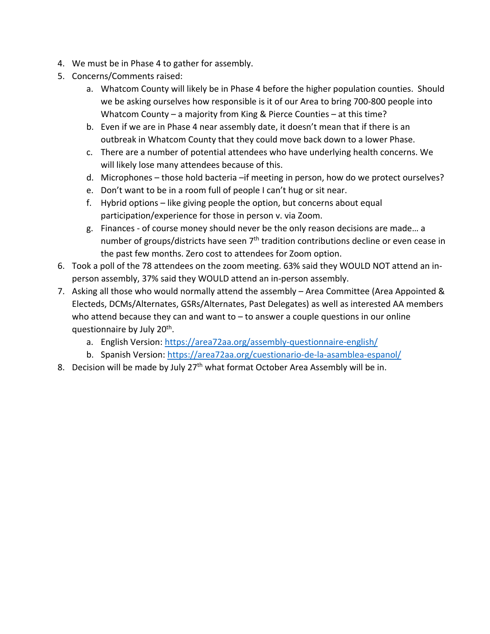- 4. We must be in Phase 4 to gather for assembly.
- 5. Concerns/Comments raised:
	- a. Whatcom County will likely be in Phase 4 before the higher population counties. Should we be asking ourselves how responsible is it of our Area to bring 700-800 people into Whatcom County – a majority from King & Pierce Counties – at this time?
	- b. Even if we are in Phase 4 near assembly date, it doesn't mean that if there is an outbreak in Whatcom County that they could move back down to a lower Phase.
	- c. There are a number of potential attendees who have underlying health concerns. We will likely lose many attendees because of this.
	- d. Microphones those hold bacteria –if meeting in person, how do we protect ourselves?
	- e. Don't want to be in a room full of people I can't hug or sit near.
	- f. Hybrid options like giving people the option, but concerns about equal participation/experience for those in person v. via Zoom.
	- g. Finances of course money should never be the only reason decisions are made… a number of groups/districts have seen  $7<sup>th</sup>$  tradition contributions decline or even cease in the past few months. Zero cost to attendees for Zoom option.
- 6. Took a poll of the 78 attendees on the zoom meeting. 63% said they WOULD NOT attend an inperson assembly, 37% said they WOULD attend an in-person assembly.
- 7. Asking all those who would normally attend the assembly Area Committee (Area Appointed & Electeds, DCMs/Alternates, GSRs/Alternates, Past Delegates) as well as interested AA members who attend because they can and want to  $-$  to answer a couple questions in our online questionnaire by July 20<sup>th</sup>.
	- a. English Version:<https://area72aa.org/assembly-questionnaire-english/>
	- b. Spanish Version:<https://area72aa.org/cuestionario-de-la-asamblea-espanol/>
- 8. Decision will be made by July 27<sup>th</sup> what format October Area Assembly will be in.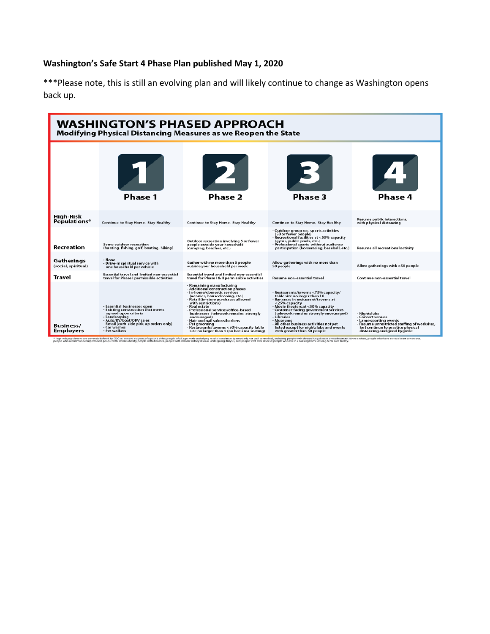# **Washington's Safe Start 4 Phase Plan published May 1, 2020**

\*\*\*Please note, this is still an evolving plan and will likely continue to change as Washington opens back up.

| <b>WASHINGTON'S PHASED APPROACH</b><br>Modifying Physical Distancing Measures as we Reopen the State |                                                                                                                                                                                                                     |                                                                                                                                                                                                                                                                                                                                                                                                                                                           |                                                                                                                                                                                                                                                                                                                                                                                                        |                                                                                                                                                                                 |  |  |
|------------------------------------------------------------------------------------------------------|---------------------------------------------------------------------------------------------------------------------------------------------------------------------------------------------------------------------|-----------------------------------------------------------------------------------------------------------------------------------------------------------------------------------------------------------------------------------------------------------------------------------------------------------------------------------------------------------------------------------------------------------------------------------------------------------|--------------------------------------------------------------------------------------------------------------------------------------------------------------------------------------------------------------------------------------------------------------------------------------------------------------------------------------------------------------------------------------------------------|---------------------------------------------------------------------------------------------------------------------------------------------------------------------------------|--|--|
|                                                                                                      | <b>Phase 1</b>                                                                                                                                                                                                      | 2<br>Phase 2                                                                                                                                                                                                                                                                                                                                                                                                                                              | Phase 3                                                                                                                                                                                                                                                                                                                                                                                                | Phase 4                                                                                                                                                                         |  |  |
| High-Risk<br>Populations*                                                                            | Continue to Stay Home, Stay Healthy                                                                                                                                                                                 | Continue to Stay Home, Stay Healthy                                                                                                                                                                                                                                                                                                                                                                                                                       | Continue to Stay Home, Stay Healthy                                                                                                                                                                                                                                                                                                                                                                    | <b>Resume public interactions.</b><br>with physical distancing                                                                                                                  |  |  |
| <b>Recreation</b>                                                                                    | Some outdoor recreation<br>(hunting, fishing, golf, boating, hiking)                                                                                                                                                | Outdoor recreation involving 5 or fewer<br>people outside your household<br>(camping, beaches, etc.)                                                                                                                                                                                                                                                                                                                                                      | - Outdoor group rec. sports activities<br>(50 or fewer people)<br>- Recreational facilities at <50% capacity<br>(gyms, public pools, etc.)<br>- Professional sports without audience<br>participation (horseracing, baseball, etc.)                                                                                                                                                                    | <b>Resume all recreational activity</b>                                                                                                                                         |  |  |
| Gatherings<br>(social, spiritual)                                                                    | - None<br>- Drive-in spiritual service with<br>one household per vehicle                                                                                                                                            | Gather with no more than 5 people<br>outside your household per week                                                                                                                                                                                                                                                                                                                                                                                      | Allow gatherings with no more than<br>50 people                                                                                                                                                                                                                                                                                                                                                        | Allow gatherings with >50 people                                                                                                                                                |  |  |
| Travel                                                                                               | <b>Essential travel and limited non-essential</b><br>travel for Phase I permissible activities                                                                                                                      | <b>Essential travel and limited non-essential</b><br>travel for Phase I & II permissible activities                                                                                                                                                                                                                                                                                                                                                       | Resume non-essential travel                                                                                                                                                                                                                                                                                                                                                                            | Continue non-essential travel                                                                                                                                                   |  |  |
| Business/<br><b>Employers</b>                                                                        | - Essential businesses open<br>- Existing construction that meets<br>agreed upon criteria<br>- Landscaping<br>- Auto/RV/boat/ORV sales<br>- Retail (curb-side pick-up orders only)<br>- Car washes<br>- Pet walkers | - Remaining manufacturing<br>- Additional construction phases<br>- In-home/domestic services<br>(nannies, housecleaning, etc.)<br>- Retail (in-store purchases allowed<br>with restrictions)<br>- Real estate<br>- Professional services/office-based<br>businesses (telework remains strongly<br>encouraged)<br>Hair and nail salons/barbers<br>- Pet grooming<br>Restaurants/taverns <50% capacity table<br>size no larger than 5 (no bar-area seating) | - Restaurants/taverns <75% capacity/<br>table size no larger than 10<br>- Bar areas in restuarant/taverns at<br><25% capacity<br>- Movie theaters at <50% capacity<br>- Customer-facing government services<br>(telework remains strongly encouraged)<br>- Libraries<br>- Museums<br>- All other business activities not yet<br>listed except for nightclubs and events<br>with greater than 50 people | - Nightclubs<br>- Concert venues<br>- Large sporting events<br>- Resume unrestricted staffing of worksites.<br>but continue to practice physical<br>distancing and good hygiene |  |  |

\* ligh-mix maximation are currently defined by CD as persons of your of a production and interpreted a last width that conditions including media to the discussion of the discussion of the conditions, and proper with liver